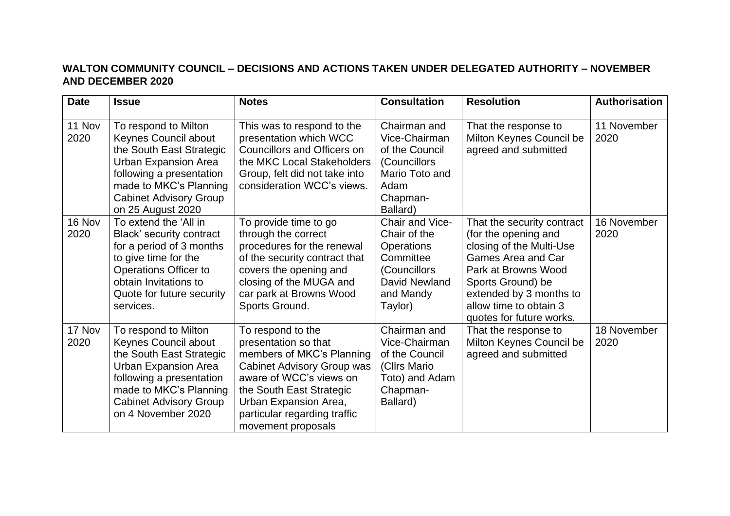## **WALTON COMMUNITY COUNCIL – DECISIONS AND ACTIONS TAKEN UNDER DELEGATED AUTHORITY – NOVEMBER AND DECEMBER 2020**

| <b>Date</b>    | <b>Issue</b>                                                                                                                                                                                                         | <b>Notes</b>                                                                                                                                                                                                                                      | <b>Consultation</b>                                                                                                        | <b>Resolution</b>                                                                                                                                                                                                                        | Authorisation       |
|----------------|----------------------------------------------------------------------------------------------------------------------------------------------------------------------------------------------------------------------|---------------------------------------------------------------------------------------------------------------------------------------------------------------------------------------------------------------------------------------------------|----------------------------------------------------------------------------------------------------------------------------|------------------------------------------------------------------------------------------------------------------------------------------------------------------------------------------------------------------------------------------|---------------------|
| 11 Nov<br>2020 | To respond to Milton<br>Keynes Council about<br>the South East Strategic<br><b>Urban Expansion Area</b><br>following a presentation<br>made to MKC's Planning<br><b>Cabinet Advisory Group</b><br>on 25 August 2020  | This was to respond to the<br>presentation which WCC<br>Councillors and Officers on<br>the MKC Local Stakeholders<br>Group, felt did not take into<br>consideration WCC's views.                                                                  | Chairman and<br>Vice-Chairman<br>of the Council<br>(Councillors<br>Mario Toto and<br>Adam<br>Chapman-<br>Ballard)          | That the response to<br>Milton Keynes Council be<br>agreed and submitted                                                                                                                                                                 | 11 November<br>2020 |
| 16 Nov<br>2020 | To extend the 'All in<br>Black' security contract<br>for a period of 3 months<br>to give time for the<br><b>Operations Officer to</b><br>obtain Invitations to<br>Quote for future security<br>services.             | To provide time to go<br>through the correct<br>procedures for the renewal<br>of the security contract that<br>covers the opening and<br>closing of the MUGA and<br>car park at Browns Wood<br>Sports Ground.                                     | Chair and Vice-<br>Chair of the<br><b>Operations</b><br>Committee<br>(Councillors<br>David Newland<br>and Mandy<br>Taylor) | That the security contract<br>(for the opening and<br>closing of the Multi-Use<br><b>Games Area and Car</b><br>Park at Browns Wood<br>Sports Ground) be<br>extended by 3 months to<br>allow time to obtain 3<br>quotes for future works. | 16 November<br>2020 |
| 17 Nov<br>2020 | To respond to Milton<br>Keynes Council about<br>the South East Strategic<br><b>Urban Expansion Area</b><br>following a presentation<br>made to MKC's Planning<br><b>Cabinet Advisory Group</b><br>on 4 November 2020 | To respond to the<br>presentation so that<br>members of MKC's Planning<br><b>Cabinet Advisory Group was</b><br>aware of WCC's views on<br>the South East Strategic<br>Urban Expansion Area,<br>particular regarding traffic<br>movement proposals | Chairman and<br>Vice-Chairman<br>of the Council<br>(Cllrs Mario<br>Toto) and Adam<br>Chapman-<br>Ballard)                  | That the response to<br>Milton Keynes Council be<br>agreed and submitted                                                                                                                                                                 | 18 November<br>2020 |